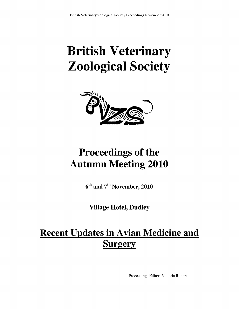# British Veterinary Zoological Society



# Proceedings of the Autumn Meeting 2010

6<sup>th</sup> and 7<sup>th</sup> November, 2010

Village Hotel, Dudley

# **Recent Updates in Avian Medicine and Surgery**

Proceedings Editor: Victoria Roberts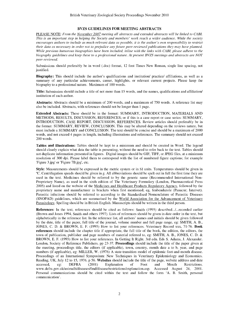#### BVZS GUIDELINES FOR MEETING ABSTRACTS

PLEASE NOTE: From the November 2007 meeting all abstracts and extended abstracts will be linked to CABL This is an important step in helping the Society and members' work reach a wider audience. While the society encourages authors to include as much relevant data as possible, it is the author's own responsibility to restrict their data as necessary in order not to prejudice any future peer-reviewed publications they may have planned. While previous humorous biographies have been included, inline with the links with CABI, please adhere to the biography guidelines and keep these to a professional nature. At present BVZS meetings and abstracts are NOT peer-reviewed.

Submissions should preferably be in word (.doc) format, 12 font Times New Roman, single line spacing, not justified.

Biography: This should include the author's qualifications and institution/ practice/ affiliations, as well as a summary of any particular achievements, career, highlights, or relevant current projects. Please keep the biography to a professional nature. Maximum of 100 words.

Title: Submission should include a title of not more than 15 words, and the names, qualifications and affiliation/ institution of each author.

Abstracts: Abstracts should be a minimum of 200 words, and a maximum of 750 words. A reference list may also be included. Abstracts, with references should not be longer than 1 page.

Extended Abstracts: These should be in the format: SUMMARY, INTRODUCTION, MATERIALS AND METHODS, RESULTS, DISCUSSION, REFERENCES; or if this is a case report or case series: SUMMARY, INTRODUCTION, CASE REPORT, DISCUSSION, REFERENCES. Review articles should preferably be in the format: SUMMARY, REVIEW, CONCLUSION. This may be altered depending on the reviews nature, but must include a SUMMARY and CONCLUSION. The text should be concise and should be a maximum of 2000 words, and not exceed 4 pages in length, including illustrations and references. The summary should not exceed 200 words.

Tables and illustrations: Tables should be kept to a minimum and should be created in Word. The legend should clearly explain what data the table is presenting, without the need to refer back to the text. Tables should not duplicate information presented in figures. Digital images should be GIF, TIFF, or JPEG files, at a minimum resolution of 300 dpi. Please label them to correspond with the list of numbered figure captions; for example 'Figure 3.jpg' or 'Figure 7B.jpg', etc.

Style: Measurements should be expressed in the metric system or in SI units. Temperatures should be given in °C. Centrifugation speeds should be given in g. All abbreviations should be spelt out in full the first time they are used in the text. Medicines should be referred to by the generic name (Recommended International Non-Proprietary Name), as used in the sixth edition of The Veterinary Formulary (London, Pharmaceutical Press 2005) and listed on the website of the Medicines and Healthcare Products Regulatory Agency, followed by the proprietary name and manufacturer in brackets when first mentioned; eg, fenbendazole (Panacur; Intervet). Parasitic infections should be referred to according to the Standardised Nomenclature of Parasitic Diseases (SNOPAD) guidelines, which are summarised by the World Association for the Advancement of Veterinary Parasitology. Spelling should be in British English. Manuscripts should be written in the third person.

References: In the text, references should be cited as follows: Smith (1995) described.../...recorded earlier (Brown and Jones 1994, Smith and others 1997). Lists of references should be given in date order in the text, but alphabetically in the reference list. In the reference list, all authors' names and initials should be given followed by the date, title of the paper, full title of the journal, volume number and full page range, eg: SMITH, A. B., JONES, C. D. & BROWN, E. F. (1995) How to list your references. Veterinary Record xxx, 71-76. Book references should include the chapter title if appropriate, the full title of the book, the edition, the editors, the town of publication, publisher and page numbers of material referred to, eg: SMITH, A. B., JONES, C. D. & BROWN, E. F. (1993) How to list your references. In Getting It Right. 3rd edn. Eds S. Adams, J. Alexander. London, Society of Reference Publishers. pp 23-37. **Proceedings** should include the title of the paper given at the meeting, proceedings title, the editors (if applicable), town, country, month date a to b, year, and page numbers (if applicable), eg: MILLER, W. (1976) A state-transition model of epidemic foot-and-mouth disease. Proceedings of an International Symposium: New Techniques in Veterinary Epidemiology and Economics. Reading, UK, July 12 to 15, 1976. p 56. Websites should include the title of the page, website address and date accessed, eg: DEFRA (2001) Explanation of Foot and Mouth Restrictions. accessed, eg: DEFRA (2001) Explanation of Foot and Mouth www.defra.gov.uk/animalh/diseases/fmd/disease/restrictions/explanation.asp. Accessed August 24, 2001. Personal communications should be cited within the text and follow the form 'A. B. Smith, personal communication'.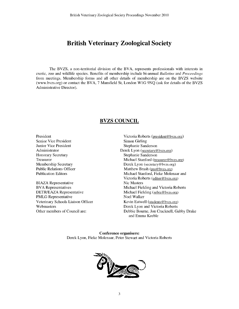# British Veterinary Zoological Society

The BVZS, a non-territorial division of the BVA, represents professionals with interests in exotic, zoo and wildlife species. Benefits of membership include bi-annual Bulletins and Proceedings from meetings. Membership forms and all other details of membership are on the BVZS website (www.bvzs.org) or contact the BVA, 7 Mansfield St, London W1G 9NQ (ask for details of the BVZS Administrative Director).

#### BVZS COUNCIL

President Senior Vice President Junior Vice President Administrator Honorary Secretary Treasurer Membership Secretary Public Relations Officer Publication Editors

BIAZA Representative BVA Representatives DETR/EAZA Representative PMLG Representative Veterinary Schools Liaison Officer Webmasters Other members of Council are:

Victoria Roberts (president@bvzs.org) Simon Girling Stephanie Sanderson Derek Lyon (secretary@bvzs.org) Stephanie Sanderson Michael Stanford (treasurer @bvzs.org) Derek Lyon (secretary@bvzs.org) Matthew Brash (pro@bvzs.org) Michael Stanford, Fieke Molenaar and Victoria Roberts (editor@bvzs.org) Nic Masters Michael Fielding and Victoria Roberts Michael Fielding (zebra @bvzs.org) Noel Walker Kevin Eatwell (students@bvzs.org) Derek Lyon and Victoria Roberts Debbie Bourne, Jon Cracknell, Gabby Drake and Emma Keeble

Conference organisers: Derek Lyon, Fieke Molenaar, Peter Stewart and Victoria Roberts

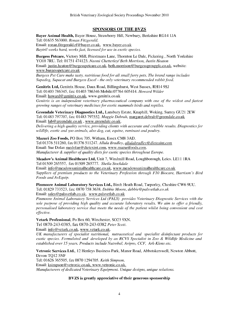#### SPONSORS OF THE BVZS

Bayer Animal Health, Bayer House, Strawberry Hill, Newbury, Berkshire RG14 1JA Tel: 01635 563000. Ronan Fitzgerald. Email: ronan.fitzgerald.rf@bayer.co.uk, www.bayer.co.uk Baytril works hard, works fast, licensed for use in exotic species.

Burgess Petcare, Victory Mill, Priestmans Lane, Thornton Le Dale, Pickering , North Yorkshire Y018 7RU. Tel: 01751 474123. Naomi Chetterley/ Beth Morrison, Justin Heaton Email: justin.heaton@burgesspetcare.co.uk, beth.morrison@burgessgroupplc.co.uk, website: www.burgesspetcare.co.uk

Burgess Pet Care make tasty, nutritious food for all small furry pets. The brand range includes Supadog, Supacat and Burgess Excel - the only veterinary recommended rabbit food.

Genitrix Ltd, Genitrix House, Daux Road, Billingshurst, West Sussex, RH14 95J Tel: 01403 786345, fax: 01403 786346 Mobile:07764 605414. Howard Wilder Email: howard@genitrix.co.uk, www.genitrix.co.uk Genitrix is an independent veterinary pharmaceutical company with one of the widest and fastest growing ranges of veterinary medicines for exotic mammals birds and reptiles.

Greendale Veterinary Diagnostics Ltd., Lansbury Estate, Knaphill, Woking, Surrey GU21 2EW Tel: 01483 797707, fax: 01483 797552. Maggie Debrah, margaret.debrah@greendale.co.uk Email: lab @greendale.co.uk, www.greendale.co.uk.

Delivering a high quality service, providing clients with accurate and credible results. Diagnostics for wildlife, exotic and zoo animals, also dog, cat, equine, ruminant and poultry.

Mazuri Zoo Foods, PO Box 705, Witham, Essex CM8 3AD. Tel 01376 511260, fax 01376 511247. Allula Bradley, allulabradley@dietexint.com

Email: Sue Dolan suedolan@dietexint.com, www.mazurifoods.com. Manufacturer & supplier of quality diets for exotic species throughout Europe.

Meadow's Animal Healthcare Ltd, Unit 7, Windmill Road, Loughborough, Leics. LE11 1RA Tel 01509 265557, fax 01509 265777. Sheila Stockdale Email: info@meadowsanimalhealthcare.co.uk, www.meadowsanimalhealthcare.co.uk

Suppliers of premium products to the Veterinary Profession through F10 Biocare, Harrison's Bird Foods and AvEquip.

Pinmoore Animal Laboratory Services Ltd., Birch Heath Road, Tarporley, Cheshire CW6 9UU. Tel: 01829 733523, fax: 0870 758 3638. Debbie Moore, debbie@palsvetlab.co.uk

Email: sales@palsvetlab.co.uk, www.palsvetlab.co.uk

Pinmoore Animal Laboratory Services Ltd (PALS) provides Veterinary Diagnostic Services with the sole purpose of providing high quality and accurate laboratory results. We aim to offer a friendly, personalised laboratory service that meets the needs of the patient whilst being convenient and cost effective.

Vetark Professional, Po Box 60, Winchester, 5023 9XN. Tel 0870-243-0385, fax 0870-243-0382 Peter Scott.

Email: info@vetark.co.uk, www.vetark.co.uk.

UK manufacturers of specialist nutritional, nutraceutical and specialist disinfectant products for exotic species. Formulated and developed by an RCVS Specialist in Zoo & Wildlife Medicine and established over 15 years. Products include Nutrobal, Avipro, CCF, Ark-Klens etc.

Vetronic Services Ltd., 12 Henleys Business Park, Manor Road, Abbotskerswell, Newton Abbott, Devon TQ12 5NF

Tel: 01626 365505, fax 0870 1294705. Keith Simpson. Email: ksimpson@vetronic.co.uk, www.vetronic.co.uk. Manufacturers of dedicated Veterinary Equipment. Unique designs, unique solutions.

#### BVZS is greatly appreciative of their generous sponsorship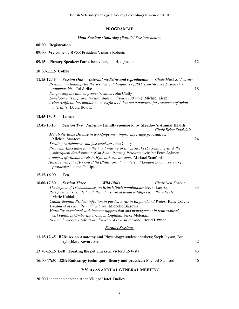#### PROGRAMME

#### Main Sessions: Saturday (Parallel Sessions below)

|  | 08:00 Registration |  |
|--|--------------------|--|
|--|--------------------|--|

09:00 Welcome by BVZS President Victoria Roberts

#### 09.15 Plenary Speaker: Parrot behaviour, Jan Hooijmeier 12

#### 10:30-11.15 Coffee

| 11.15-12.45 |                                  | <b>Session One</b> Internal medicine and reproduction                                   | Chair Mark Stidworthy |    |
|-------------|----------------------------------|-----------------------------------------------------------------------------------------|-----------------------|----|
|             |                                  | Preliminary findings for the serological diagnosis of ISD (Iron Storage Disease) in     |                       |    |
|             | ramphastids: Tai Strike          |                                                                                         |                       | 18 |
|             |                                  | <i>Diagnosing the dilated proventriculus: John Chitty</i>                               |                       |    |
|             |                                  | Developments in proventricular dilation disease (30 min): Michael Lierz                 |                       |    |
|             |                                  | Avian Artificial Insemination – a useful tool, but not a panacea for treatment of avian |                       |    |
|             | <i>infertility:</i> Debra Bourne |                                                                                         |                       |    |
|             |                                  |                                                                                         |                       |    |

#### 12.45-13.45 Lunch

#### 13.45-15.15 Session Two Nutrition (Kindly sponsored by Meadow's Animal Health)

Chair Brian Stockdale

24

Metabolic Bone Disease in woodpigeons - improving triage procedures: Michael Stanford Feeding enrichment - not just ketchup: John Chitty Problems Encountered in the hand rearing of Black Storks (Ciconia nigra) & the subsequent development of an Avian Rearing Resource website: Peter Aylmer Analysis of vitamin levels in Hyacinth macaw eggs: Michael Stanford Hand rearing the Hooded Pitta (Pitta sordida mulleri) at London Zoo, a review of protocols: Joanne Phillips

#### 15.15-16.00 Tea

| 16.00-17.30                                                            | <b>Session Three</b>   | <b>Wild Birds</b>                                                               | Chair Neil Forbes                                                                    |    |
|------------------------------------------------------------------------|------------------------|---------------------------------------------------------------------------------|--------------------------------------------------------------------------------------|----|
| The impact of Trichomonosis on British finch populations: Becki Lawson |                        |                                                                                 | 33                                                                                   |    |
|                                                                        |                        | Risk factors associated with the admission of avian wildlife casualty patients: |                                                                                      |    |
|                                                                        | Marie Kubiak           |                                                                                 |                                                                                      |    |
|                                                                        |                        |                                                                                 | Chlamydophila Psittaci infection in garden birds in England and Wales: Katie Colvile |    |
|                                                                        |                        | Treatment of casualty wild vultures: Michelle Barrows                           |                                                                                      |    |
|                                                                        |                        | Mortality associated with immunosuppression and management in reintroduced      |                                                                                      |    |
|                                                                        |                        | cirl buntings (Emberiza cirlus) in England: Fieke Molenaar                      |                                                                                      |    |
|                                                                        |                        | New and emerging infectious diseases of British Paridae: Becki Lawson           |                                                                                      |    |
|                                                                        |                        | <b>Parallel Sessions</b>                                                        |                                                                                      |    |
|                                                                        |                        |                                                                                 | 11.15-12.45 B2B: Avian Anatomy and Physiology: student speakers; Steph Jayson, Ben   |    |
|                                                                        | Ayloshkin, Kevin Jones |                                                                                 |                                                                                      | 42 |
|                                                                        |                        | 13:45-15.15 B2B: Treating the pet chicken: Victoria Roberts                     |                                                                                      | 43 |

16:00-17:30 B2B: Endoscopy techniques: theory and practical: Michael Stanford 46

#### 17:30 BVZS ANNUAL GENERAL MEETING

20:00 Dinner and dancing at the Village Hotel, Dudley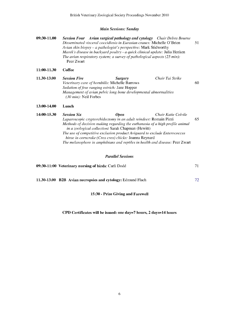## Main Sessions: Sunday

| 09:30-11.00 | <b>Session Four</b> Avian surgical pathology and cytology Chair Debra Bourne        |    |
|-------------|-------------------------------------------------------------------------------------|----|
|             | Disseminated visceral coccidiosis in Eurasian cranes: Michelle O'Brien              | 51 |
|             | Avian skin biopsy – a pathologist's perspective: Mark Stidworthy                    |    |
|             | Marek's disease in backyard poultry - a quick clinical update: Julia Henken         |    |
|             | The avian respiratory system; a survey of pathological aspects $(25 \text{ min})$ : |    |
|             | Peer Zwart                                                                          |    |

11:00-11.30 Coffee

| 11.30-13.00 | <b>Session Five</b>                                              | <i>Surgery</i>                                        | Chair Tai Strike |    |
|-------------|------------------------------------------------------------------|-------------------------------------------------------|------------------|----|
|             |                                                                  | <i>Veterinary care of hornbills: Michelle Barrows</i> |                  | 60 |
|             |                                                                  | <i>Sedation of free ranging ostrich: Jane Hopper</i>  |                  |    |
|             | Management of avian pelvic long bone developmental abnormalities |                                                       |                  |    |
|             | $(30 \text{ min})$ : Neil Forbes                                 |                                                       |                  |    |

#### 13:00-14.00 Lunch

| 14:00-15.30 | <b>Session Six</b> | <b>Open</b>                                                       | Chair Katie Colvile                                                          |    |
|-------------|--------------------|-------------------------------------------------------------------|------------------------------------------------------------------------------|----|
|             |                    | Laparoscopic cryptorchidectomy in an adult reindeer: Romain Pizzi |                                                                              | Q. |
|             |                    |                                                                   | Methods of decision making regarding the euthanasia of a high profile animal |    |
|             |                    | <i>in a zoological collection:</i> Sarah Chapman (Hewitt)         |                                                                              |    |
|             |                    |                                                                   | The use of competitive exclusion product Aviguard to exclude Enterococcus    |    |
|             |                    | hirae in corncrake (Crex crex) chicks: Joanna Reynard             |                                                                              |    |
|             |                    |                                                                   | The melanophore in amphibians and reptiles in health and disease: Peer Zwart |    |

#### Parallel Sessions

| 09:30-11:00 Veterinary nursing of birds: Carli Dodd         |    |
|-------------------------------------------------------------|----|
| 11.30-13.00 B2B Avian necropsies and cytology: Edmund Flach | 72 |

## 15:30 - Prize Giving and Farewell

### CPD Certificates will be issued: one day=7 hours, 2 days=14 hours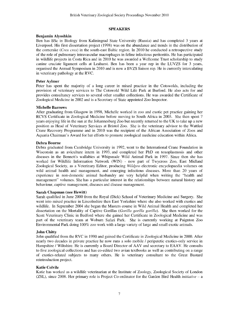#### SPEAKERS

#### Benjamin Alyoshkin

Ben has BSc in Biology from Kaliningrad State University (Russia) and has completed 3 years at Liverpool. His first dissertation project (1998) was on the abundance and trends in the distribution of the corncrake (Crex crex) in the south-east Baltic region. In 2010 he conducted a retrospective study of the role of pulmonary intravascular macrophages in feline infectious peritonitis. He has participated in wildlife projects in Costa Rica and in 2010 he was awarded a Wellcome Trust scholarship to study canine cruciate ligament cells at Leahurst. Ben has been a year rep in the LUVZS for 3 years, organised the Annual Symposium in 2010 and is now a BVZS liaison rep. He is currently intercalating in veterinary pathology at the RVC.

#### Peter Aylmer

Peter has spent the majority of a long career in mixed practice in the Cotswolds, including the provision of veterinary services to The Cotswold Wild Life Park at Burford. He also acts for and provides consultancy services to several other smaller collections. He was awarded the Certificate of Zoological Medicine in 2002 and is a Secretary of State appointed Zoo Inspector.

#### Michelle Barrows

After graduating from Glasgow in 1998, Michelle worked in zoo and exotic pet practice gaining her RCVS Certificate in Zoological Medicine before moving to South Africa in 2003. She then spent 7 years enjoying life in the sun at the Johannesburg Zoo but recently returned to the UK to take up a new position as Head of Veterinary Services at Bristol Zoo. She is the veterinary advisor to the Wattled Crane Recovery Programme and in 2010 was the recipient of the African Association of Zoos and Aquaria Chairman's Award for her efforts to promote zoological medicine education within Africa.

#### Debra Bourne

Debra graduated from Cambridge University in 1992, went to the International Crane Foundation in Wisconsin as an aviculture intern in 1993, and completed her PhD on toxoplasmosis and other diseases in the Bennett's wallabies at Whipsnade Wild Animal Park in 1997. Since then she has worked for Wildlife Information Network (WIN) - now part of Twycross Zoo, East Midland Zoological Society, as a Veterinary Editor, producing Wildpro electronic encyclopaedia volumes on wild animal health and management, and emerging infectious diseases. More than 20 years of experience in non-domestic animal husbandry are very helpful when writing the "health and management" volumes. She has a particular interest in the relationships between natural history and behaviour, captive management, diseases and disease management.

#### Sarah Chapman (nee Hewitt)

Sarah qualified in June 2000 from the Royal (Dick) School of Veterinary Medicine and Surgery. She went into mixed practice in Lincolnshire then East Yorkshire where she also worked with exotics and wildlife. In September 2004 she began the Masters course in Wild Animal Health and completed her dissertation on the Mortality of Captive Gorillas (Gorilla gorilla gorilla). She then worked for the Scott Veterinary Clinic in Bedford where she gained her Certificate in Zoological Medicine and was part of the veterinary team at Woburn Safari Park. She is currently working at Paignton Zoo Environmental Park doing 100% zoo work with a large variety of large and small exotic animals.

#### John Chitty

John qualified from the RVC in 1990 and gained the Certificate in Zoological Medicine in 2000. After nearly two decades in private practice he now runs a solo mobile / peripatetic exotics-only service in Hampshire / Wiltshire. He is currently a Board Director of AAV and secretary to EAAV. He consults to five zoological collections and has co-edited two avian textbooks as well as contributing on a range of exotics-related subjects to many others. He is veterinary consultant to the Great Bustard reintroduction project.

#### Katie Colvile

Katie has worked as a wildlife veterinarian at the Institute of Zoology, Zoological Society of London (ZSL), since 2008. Her primary role is Project Co-ordinator for the Garden Bird Health *initiative*  $-$  a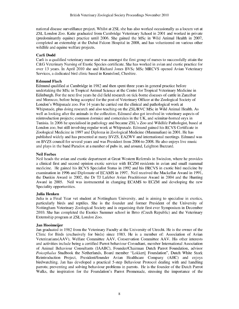national disease surveillance project. Whilst at ZSL she has also worked occasionally as a locum vet at ZSL London Zoo. Katie graduated from Cambridge Veterinary School in 2001 and worked in private (predominantly equine) practice until 2006. She gained the MSc in Wild Animal Health in 2007, completed an externship at the Dubai Falcon Hospital in 2008, and has volunteered on various other wildlife and equine welfare projects.

#### Carli Dodd

Carli is a qualified veterinary nurse and was amongst the first group of nurses to successfully attain the C&G Veterinary Nursing of Exotic Species certificate. She has worked in avian and exotic practice for over 13 years. In April 2010 she and Richard Jones BVSc MSc MRCVS opened Avian Veterinary Services, a dedicated bird clinic based in Knutsford, Cheshire.

#### Edmund Flach

Edmund qualified at Cambridge in 1982 and then spent three years in general practice before undertaking the MSc in Tropical Animal Science at the Centre for Tropical Veterinary Medicine in Edinburgh. For the next five years he did field research on tick-borne diseases of cattle in Zanzibar and Morocco, before being accepted for the post of Veterinary Officer at the Zoological Society of London's Whipsnade zoo. For 14 years he carried out the clinical and pathological work at Whipsnade, plus doing research and also teaching on the ZSL/RVC MSc in Wild Animal Health. As well as looking after the animals in the collection, Edmund also got involved in veterinary aspects of reintroduction projects; common dormice and corncrakes in the UK, and scimitar-horned oryx in Tunisia. In 2006 he specialised in pathology and became ZSL' s Zoo and Wildlife Pathologist, based at London zoo, but still involving regular work at Whipsnade. Edmund gained his RCVS Certificate in Zoological Medicine in 1997 and Diploma in Zoological Medicine (Mammalian) in 2001. He has published widely and has presented at many BVZS, EAZWV and international meetings. Edmund was on BVZS council for several years and was President from 2006 to 2008. He also enjoys live music and plays in the band Paradox at a number of pubs in, and around, Leighton Buzzard.

#### Neil Forbes

Neil heads the avian and exotic department at Great Western Referrals in Swindon, where he provides a clinical first and second opinion exotic service with ECZM residents in avian and small mammal medicine. He gained his RCVS Specialist Status in 1992 and his FRCVS in exotic bird medicine by examination in 1996 and Diplomate of ECAMS in 1997. Neil received the Mackellar Award in 1991, the Dunkin Award in 2002, the Dr TJ Lafeber Avian Practitioner Award in 2004 and the Hunting Award in 2005. Neil was instrumental in changing ECAMS to ECZM and developing the new Speciality opportunities.

#### Julia Henken

Julia is a Final Year vet student at Nottingham University, and is aiming to specialise in exotics, particularly birds and reptiles. She is the founder and former President of the University of Nottingham Veterinary Zoological Society and is organising their first ever Symposium in December 2010. She has completed the Exotics Summer school in Brno (Czech Republic) and the Veterinary Externship program at ZSL London Zoo.

#### Jan Hooimeijer

Jan graduated in 1982 from the Veterinary Faculty at the University of Utrecht. He is the owner of the Clinic for Birds (exclusively for birds) since 1983. He is a member of: Association of Avian Veterinarians(AAV), Welfare Committee AAV, Conservation Committee AAV. His other interests and activities include being a certified Parrot behaviour Consultant, member International Association of Animal Behaviour Consultants (IAABC), Founder/Chairman Dutch Parrot Foundation, advisor Poicephalus Studbook the Netherlands, Board member "Lokkerij Foundation", Dutch White Stork Reintroduction Project, President/founder Avian Healthcare Company (AHC) and enjoys birdwatching. Jan has developed a practical 5-step Behaviour Protocol dealing with and handling parrots; preventing and solving behaviour problems in parrots. He is the founder of the Dutch Parrot Walks, the inspiration for the Foundation's Parrot Promenade, stressing the importance of the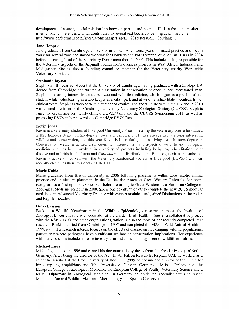development of a strong social relationship between parrots and people. He is a frequent speaker at international conferences and has contributed to several text books concerning avian medicine. http://www.perfectmanage.nl/sites/1/content.asp?PageID=231&RelatieID=88&lang=1

#### Jane Hopper

Jane graduated from Cambridge University in 2002. After some years in mixed practice and locum work for several zoos she started working for Howletts and Port Lympne Wild Animal Parks in 2004 before becoming head of the Veterinary Department there in 2006. This includes being responsible for the Veterinary aspects of the Aspinall Foundation's overseas projects in West Africa, Indonesia and Madagascar. She is also a founding committee member for the Veterinary charity Worldwide Veterinary Services.

#### Stephanie Jayson

Steph is a fifth year vet student at the University of Cambridge, having graduated with a Zoology BA degree from Cambridge and written a dissertation in conservation science in her intercalated year. Steph has a strong interest in exotic pet, zoo and wildlife medicine, which began as a preclinical vet student while volunteering as a zoo keeper at a safari park and at wildlife rehabilitation centres. In her clinical years, Steph has worked with a number of exotics, zoo and wildlife vets in the UK and in 2010 was elected President of the Cambridge University Veterinary Zoological Society (CUVZS). Steph is currently organising fortnightly clinical CUVZS talks and the CUVZS Symposium 2011, as well as promoting BVZS in her new role as Cambridge BVZS Rep.

#### Kevin Jones

Kevin is a veterinary student at Liverpool University. Prior to starting the veterinary course he studied a BSc honours degree in Zoology at Swansea University. He has always had a strong interest in wildlife and conservation, and this year Kevin is intercalating and studying for a Masters degree in Conservation Medicine at Leahurst. Kevin has interests in many aspects of wildlife and zoological medicine and has been involved in a variety of projects including hedgehog rehabilitation, joint disease and arthritis in elephants and *Culicoides* spp. distribution and Bluetongue virus transmission. Kevin is actively involved with the Veterinary Zoological Society at Liverpool (LUVZS) and was recently elected as their President (2010-2011).

#### Marie Kubiak

Marie graduated from Bristol University in 2006 following placements within zoos, exotic animal practice and an elective placement in the Exotics department at Great Western Referrals. She spent two years as a first opinion exotics vet, before returning to Great Western as a European College of Zoological Medicine resident in 2008. She is one of only two vets to complete the new RCVS modular certificate in Advanced Veterinary Practice with exotics modules, and gained Distinctions in the Avian and Reptile modules.

#### Becki Lawson

Becki is a Wildlife Veterinarian in the Wildlife Epidemiology research theme at the Institute of Zoology. Her current role is co-ordinator of the Garden Bird Health initiative, a collaborative project with the RSPB, BTO and other organizations, which is also the topic of her recently completed PhD research. Becki qualified from Cambridge in 1997 and completed the MSc in Wild Animal Health in 1999/2000. Her research interest focuses on the effects of disease on free-ranging wildlife populations, particularly where pathogens have significant welfare or conservation implications. Her experience with native species includes disease investigation and clinical management of wildlife casualties.

#### Michael Lierz

Michael graduated in 1996 and earned his doctorate title by thesis from the Free University of Berlin, Germany. After being the director of the Abu Dhabi Falcon Research Hospital, UAE he worked as a scientific assistant at the Free University of Berlin. In 2009 he became the director of the Clinic for birds, reptiles, amphibians and fish, University of Giessen, Germany. He is a Diplomate of the European College of Zoological Medicine, the European College of Poultry Veterinary Science and a RCVS Diplomate in Zoological Medicine. In Germany he holds the specialist status in Avian Medicine; Zoo and Wildlife Medicine, Microbiology and Species Conservation.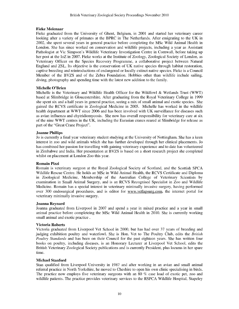#### Fieke Molenaar

Fieke graduated from the University of Ghent, Belgium, in 2001 and started her veterinary career looking after a variety of primates at the BPRC in The Netherlands. After emigrating to the UK in 2002, she spent several years in general practice before completing the MSc Wild Animal Health in London. She has since worked on conservation and wildlife projects, including a year as Assistant Pathologist at Vic Simpson's Wildlife Veterinary Investigation Centre in Cornwall, before taking up her post at the IoZ in 2007. Fieke works at the Institute of Zoology, Zoological Society of London, as Veterinary Officer on the Species Recovery Programme, a collaborative project between Natural England and ZSL. Its objective is the conservation of UK native species through habitat restoration, captive breeding and reintroductions of endangered or locally extinct native species. Fieke is a Council Member of the BVZS and of the Zebra Foundation. Hobbies other than wildlife include sailing, diving, photography and spending time with the latest new addition to the family.

#### Michelle O'Brien

Michelle is the Veterinary and Wildlife Health Officer for the Wildfowl & Wetlands Trust (WWT) based at Slimbridge in Gloucestershire. After graduating from the Royal Veterinary College in 1999 she spent six and a half years in general practice, seeing a mix of small animal and exotic species. She gained the RCVS certificate in Zoological Medicine in 2005. Michelle has worked in the wildlife health department at WWT since 2006 and has been involved with UK surveillance for diseases such as avian influenza and chytridiomycosis. She now has overall responsibility for veterinary care at six of the nine WWT centres in the UK, including the Eurasian cranes reared at Slimbridge for release as part of the "Great Crane Project".

#### Joanne Phillips

Jo is currently a final year veterinary student studying at the University of Nottingham. She has a keen interest in zoo and wild animals which she has further developed through her clinical placements. Jo has combined her passion for travelling with gaining veterinary experience and to date has volunteered in Zimbabwe and India. Her presentation at BVZS is based on a short research project she completed whilst on placement at London Zoo this year.

#### Romain Pizzi

Romain is veterinary surgeon at the Royal Zoological Society of Scotland, and the Scottish SPCA Wildlife Rescue Centre. He holds an MSc in Wild Animal Health, the RCVS Certificate and Diploma in Zoological Medicine, Membership of the Australian College of Veterinary Scientists by examination in Small Animal Surgery, and is an RCVS Recognised Specialist in Zoo and Wildlife Medicine. Romain has a special interest in veterinary minimally invasive surgery, having performed over 300 endosurgical procedures, and is editor for www.vetlapsurg.com, the internet portal for veterinary minimally invasive surgery.

#### Joanna Reynard

Joanna graduated from Liverpool in 2007 and spend a year in mixed practice and a year in small animal practice before completeing the MSc Wild Animal Health in 2010. She is currently working small animal and exotic practice .

#### Victoria Roberts

Victoria graduated from Liverpool Vet School in 2000, but has had over 37 years of breeding and judging exhibition poultry and waterfowl. She is Hon. Vet to The Poultry Club, edits the British Poultry Standards and has been on their Council for the past eighteen years. She has written four books on poultry, including diseases, is an Honorary Lecturer at Liverpool Vet School, edits the British Veterinary Zoological Society publications and is currently President, plus locums in her spare time.

#### Michael Stanford

Stan qualified from Liverpool University in 1987 and after working in an avian and small animal referral practice in North Yorkshire, he moved to Cheshire to open his own clinic specialising in birds. The practice now employs five veterinary surgeons with an 80 % case load of exotic pet, zoo and wildlife patients. The practice provides veterinary services to the RSPCA Wildlife Hospital, Stapeley